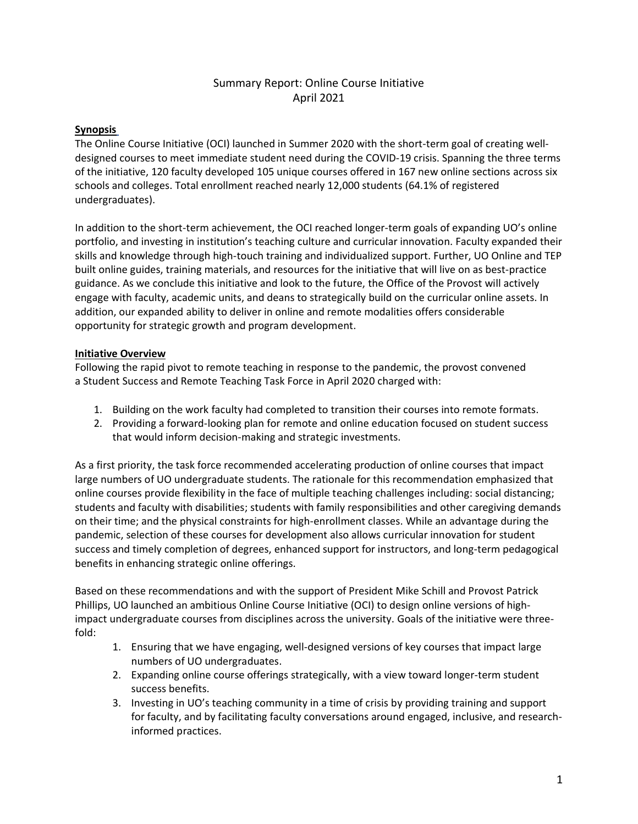### Summary Report: Online Course Initiative April 2021

#### **Synopsis**

The Online Course Initiative (OCI) launched in Summer 2020 with the short-term goal of creating welldesigned courses to meet immediate student need during the COVID-19 crisis. Spanning the three terms of the initiative, 120 faculty developed 105 unique courses offered in 167 new online sections across six schools and colleges. Total enrollment reached nearly 12,000 students (64.1% of registered undergraduates).

In addition to the short-term achievement, the OCI reached longer-term goals of expanding UO's online portfolio, and investing in institution's teaching culture and curricular innovation. Faculty expanded their skills and knowledge through high-touch training and individualized support. Further, UO Online and TEP built online guides, training materials, and resources for the initiative that will live on as best-practice guidance. As we conclude this initiative and look to the future, the Office of the Provost will actively engage with faculty, academic units, and deans to strategically build on the curricular online assets. In addition, our expanded ability to deliver in online and remote modalities offers considerable opportunity for strategic growth and program development.

#### **Initiative Overview**

Following the rapid pivot to remote teaching in response to the pandemic, the provost convened a Student Success and Remote Teaching Task Force in April 2020 charged with:

- 1. Building on the work faculty had completed to transition their courses into remote formats.
- 2. Providing a forward-looking plan for remote and online education focused on student success that would inform decision-making and strategic investments.

As a first priority, the task force recommended accelerating production of online courses that impact large numbers of UO undergraduate students. The rationale for this recommendation emphasized that online courses provide flexibility in the face of multiple teaching challenges including: social distancing; students and faculty with disabilities; students with family responsibilities and other caregiving demands on their time; and the physical constraints for high-enrollment classes. While an advantage during the pandemic, selection of these courses for development also allows curricular innovation for student success and timely completion of degrees, enhanced support for instructors, and long-term pedagogical benefits in enhancing strategic online offerings.

Based on these recommendations and with the support of President Mike Schill and Provost Patrick Phillips, UO launched an ambitious Online Course Initiative (OCI) to design online versions of highimpact undergraduate courses from disciplines across the university. Goals of the initiative were threefold:

- 1. Ensuring that we have engaging, well-designed versions of key courses that impact large numbers of UO undergraduates.
- 2. Expanding online course offerings strategically, with a view toward longer-term student success benefits.
- 3. Investing in UO's teaching community in a time of crisis by providing training and support for faculty, and by facilitating faculty conversations around engaged, inclusive, and researchinformed practices.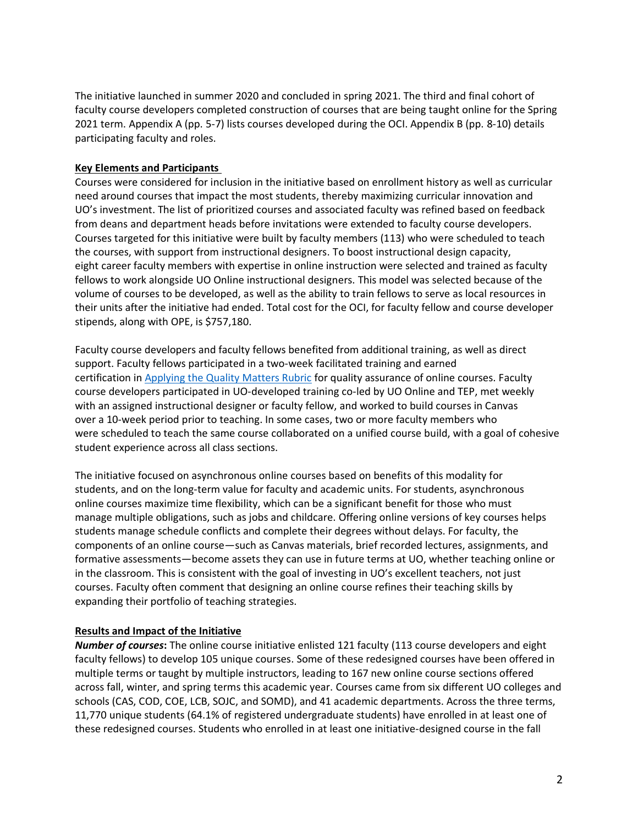The initiative launched in summer 2020 and concluded in spring 2021. The third and final cohort of faculty course developers completed construction of courses that are being taught online for the Spring 2021 term. Appendix A (pp. 5-7) lists courses developed during the OCI. Appendix B (pp. 8-10) details participating faculty and roles.

#### **Key Elements and Participants**

Courses were considered for inclusion in the initiative based on enrollment history as well as curricular need around courses that impact the most students, thereby maximizing curricular innovation and UO's investment. The list of prioritized courses and associated faculty was refined based on feedback from deans and department heads before invitations were extended to faculty course developers. Courses targeted for this initiative were built by faculty members (113) who were scheduled to teach the courses, with support from instructional designers. To boost instructional design capacity, eight career faculty members with expertise in online instruction were selected and trained as faculty fellows to work alongside UO Online instructional designers. This model was selected because of the volume of courses to be developed, as well as the ability to train fellows to serve as local resources in their units after the initiative had ended. Total cost for the OCI, for faculty fellow and course developer stipends, along with OPE, is \$757,180.

Faculty course developers and faculty fellows benefited from additional training, as well as direct support. Faculty fellows participated in a two-week facilitated training and earned certification in [Applying the Quality Matters Rubric](https://www.qualitymatters.org/professional-development/workshops/higher-ed-appqmr) for quality assurance of online courses. Faculty course developers participated in UO-developed training co-led by UO Online and TEP, met weekly with an assigned instructional designer or faculty fellow, and worked to build courses in Canvas over a 10-week period prior to teaching. In some cases, two or more faculty members who were scheduled to teach the same course collaborated on a unified course build, with a goal of cohesive student experience across all class sections.

The initiative focused on asynchronous online courses based on benefits of this modality for students, and on the long-term value for faculty and academic units. For students, asynchronous online courses maximize time flexibility, which can be a significant benefit for those who must manage multiple obligations, such as jobs and childcare. Offering online versions of key courses helps students manage schedule conflicts and complete their degrees without delays. For faculty, the components of an online course—such as Canvas materials, brief recorded lectures, assignments, and formative assessments—become assets they can use in future terms at UO, whether teaching online or in the classroom. This is consistent with the goal of investing in UO's excellent teachers, not just courses. Faculty often comment that designing an online course refines their teaching skills by expanding their portfolio of teaching strategies.

#### **Results and Impact of the Initiative**

*Number of courses***:** The online course initiative enlisted 121 faculty (113 course developers and eight faculty fellows) to develop 105 unique courses. Some of these redesigned courses have been offered in multiple terms or taught by multiple instructors, leading to 167 new online course sections offered across fall, winter, and spring terms this academic year. Courses came from six different UO colleges and schools (CAS, COD, COE, LCB, SOJC, and SOMD), and 41 academic departments. Across the three terms, 11,770 unique students (64.1% of registered undergraduate students) have enrolled in at least one of these redesigned courses. Students who enrolled in at least one initiative-designed course in the fall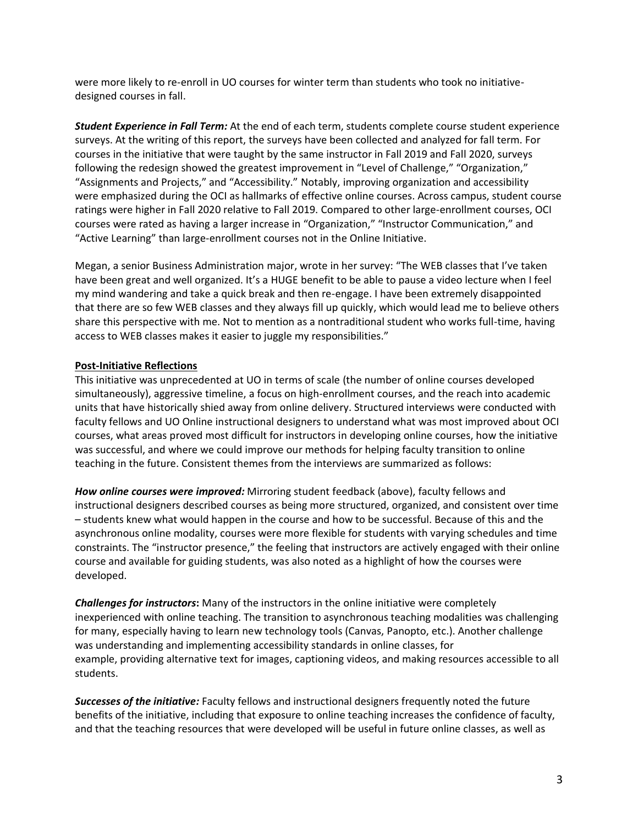were more likely to re-enroll in UO courses for winter term than students who took no initiativedesigned courses in fall.

*Student Experience in Fall Term:* At the end of each term, students complete course student experience surveys. At the writing of this report, the surveys have been collected and analyzed for fall term. For courses in the initiative that were taught by the same instructor in Fall 2019 and Fall 2020, surveys following the redesign showed the greatest improvement in "Level of Challenge," "Organization," "Assignments and Projects," and "Accessibility." Notably, improving organization and accessibility were emphasized during the OCI as hallmarks of effective online courses. Across campus, student course ratings were higher in Fall 2020 relative to Fall 2019. Compared to other large-enrollment courses, OCI courses were rated as having a larger increase in "Organization," "Instructor Communication," and "Active Learning" than large-enrollment courses not in the Online Initiative.

Megan, a senior Business Administration major, wrote in her survey: "The WEB classes that I've taken have been great and well organized. It's a HUGE benefit to be able to pause a video lecture when I feel my mind wandering and take a quick break and then re-engage. I have been extremely disappointed that there are so few WEB classes and they always fill up quickly, which would lead me to believe others share this perspective with me. Not to mention as a nontraditional student who works full-time, having access to WEB classes makes it easier to juggle my responsibilities."

#### **Post-Initiative Reflections**

This initiative was unprecedented at UO in terms of scale (the number of online courses developed simultaneously), aggressive timeline, a focus on high-enrollment courses, and the reach into academic units that have historically shied away from online delivery. Structured interviews were conducted with faculty fellows and UO Online instructional designers to understand what was most improved about OCI courses, what areas proved most difficult for instructors in developing online courses, how the initiative was successful, and where we could improve our methods for helping faculty transition to online teaching in the future. Consistent themes from the interviews are summarized as follows:

*How online courses were improved:* Mirroring student feedback (above), faculty fellows and instructional designers described courses as being more structured, organized, and consistent over time – students knew what would happen in the course and how to be successful. Because of this and the asynchronous online modality, courses were more flexible for students with varying schedules and time constraints. The "instructor presence," the feeling that instructors are actively engaged with their online course and available for guiding students, was also noted as a highlight of how the courses were developed.

*Challenges for instructors***:** Many of the instructors in the online initiative were completely inexperienced with online teaching. The transition to asynchronous teaching modalities was challenging for many, especially having to learn new technology tools (Canvas, Panopto, etc.). Another challenge was understanding and implementing accessibility standards in online classes, for example, providing alternative text for images, captioning videos, and making resources accessible to all students.

*Successes of the initiative:* Faculty fellows and instructional designers frequently noted the future benefits of the initiative, including that exposure to online teaching increases the confidence of faculty, and that the teaching resources that were developed will be useful in future online classes, as well as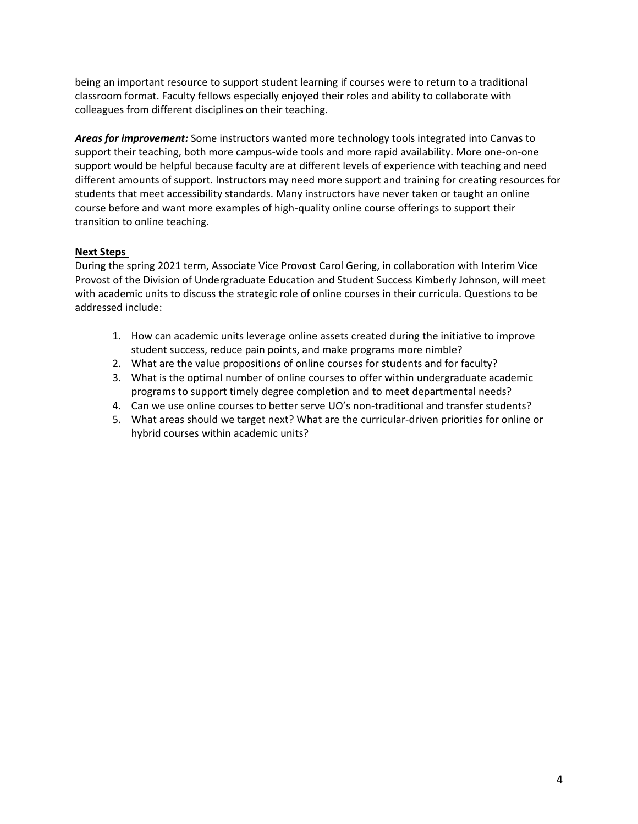being an important resource to support student learning if courses were to return to a traditional classroom format. Faculty fellows especially enjoyed their roles and ability to collaborate with colleagues from different disciplines on their teaching.

*Areas for improvement:* Some instructors wanted more technology tools integrated into Canvas to support their teaching, both more campus-wide tools and more rapid availability. More one-on-one support would be helpful because faculty are at different levels of experience with teaching and need different amounts of support. Instructors may need more support and training for creating resources for students that meet accessibility standards. Many instructors have never taken or taught an online course before and want more examples of high-quality online course offerings to support their transition to online teaching.

#### **Next Steps**

During the spring 2021 term, Associate Vice Provost Carol Gering, in collaboration with Interim Vice Provost of the Division of Undergraduate Education and Student Success Kimberly Johnson, will meet with academic units to discuss the strategic role of online courses in their curricula. Questions to be addressed include:

- 1. How can academic units leverage online assets created during the initiative to improve student success, reduce pain points, and make programs more nimble?
- 2. What are the value propositions of online courses for students and for faculty?
- 3. What is the optimal number of online courses to offer within undergraduate academic programs to support timely degree completion and to meet departmental needs?
- 4. Can we use online courses to better serve UO's non-traditional and transfer students?
- 5. What areas should we target next? What are the curricular-driven priorities for online or hybrid courses within academic units?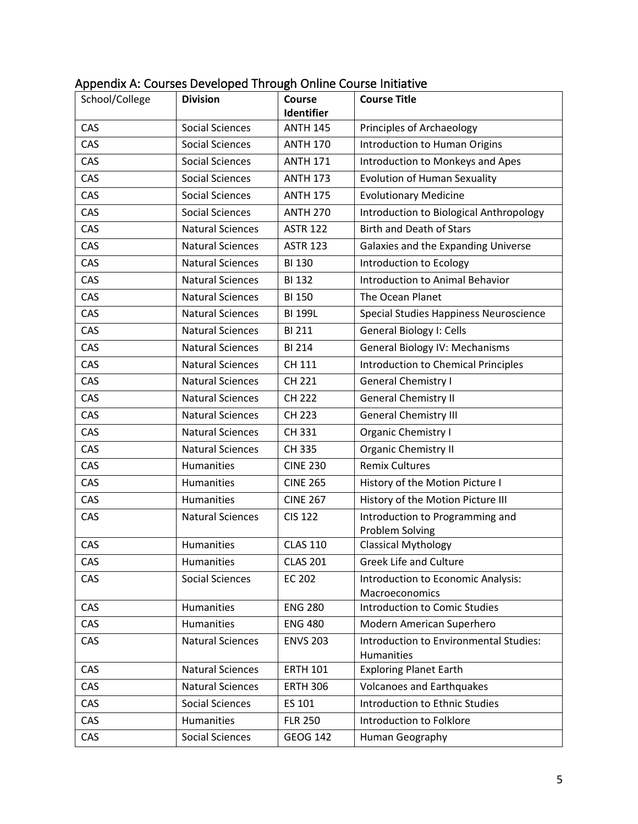| School/College | <b>Division</b>         | <b>Course</b><br>Identifier | <b>Course Title</b>                                  |
|----------------|-------------------------|-----------------------------|------------------------------------------------------|
| CAS            | <b>Social Sciences</b>  | <b>ANTH 145</b>             | Principles of Archaeology                            |
| CAS            | <b>Social Sciences</b>  | <b>ANTH 170</b>             | Introduction to Human Origins                        |
| CAS            | <b>Social Sciences</b>  | <b>ANTH 171</b>             | Introduction to Monkeys and Apes                     |
| CAS            | <b>Social Sciences</b>  | <b>ANTH 173</b>             | <b>Evolution of Human Sexuality</b>                  |
| CAS            | <b>Social Sciences</b>  | <b>ANTH 175</b>             | <b>Evolutionary Medicine</b>                         |
| CAS            | <b>Social Sciences</b>  | <b>ANTH 270</b>             | Introduction to Biological Anthropology              |
| CAS            | <b>Natural Sciences</b> | <b>ASTR 122</b>             | <b>Birth and Death of Stars</b>                      |
| CAS            | <b>Natural Sciences</b> | <b>ASTR 123</b>             | Galaxies and the Expanding Universe                  |
| CAS            | <b>Natural Sciences</b> | <b>BI 130</b>               | Introduction to Ecology                              |
| CAS            | <b>Natural Sciences</b> | <b>BI 132</b>               | <b>Introduction to Animal Behavior</b>               |
| CAS            | <b>Natural Sciences</b> | <b>BI 150</b>               | The Ocean Planet                                     |
| CAS            | <b>Natural Sciences</b> | <b>BI 199L</b>              | Special Studies Happiness Neuroscience               |
| CAS            | <b>Natural Sciences</b> | <b>BI 211</b>               | General Biology I: Cells                             |
| CAS            | <b>Natural Sciences</b> | <b>BI 214</b>               | General Biology IV: Mechanisms                       |
| CAS            | <b>Natural Sciences</b> | CH 111                      | Introduction to Chemical Principles                  |
| CAS            | <b>Natural Sciences</b> | CH 221                      | <b>General Chemistry I</b>                           |
| CAS            | <b>Natural Sciences</b> | CH 222                      | <b>General Chemistry II</b>                          |
| CAS            | <b>Natural Sciences</b> | <b>CH 223</b>               | <b>General Chemistry III</b>                         |
| CAS            | <b>Natural Sciences</b> | CH 331                      | Organic Chemistry I                                  |
| CAS            | <b>Natural Sciences</b> | CH 335                      | Organic Chemistry II                                 |
| CAS            | <b>Humanities</b>       | <b>CINE 230</b>             | <b>Remix Cultures</b>                                |
| CAS            | Humanities              | <b>CINE 265</b>             | History of the Motion Picture I                      |
| CAS            | Humanities              | <b>CINE 267</b>             | History of the Motion Picture III                    |
| CAS            | <b>Natural Sciences</b> | <b>CIS 122</b>              | Introduction to Programming and<br>Problem Solving   |
| CAS            | Humanities              | <b>CLAS 110</b>             | <b>Classical Mythology</b>                           |
| CAS            | Humanities              | <b>CLAS 201</b>             | <b>Greek Life and Culture</b>                        |
| CAS            | <b>Social Sciences</b>  | <b>EC 202</b>               | Introduction to Economic Analysis:<br>Macroeconomics |
| CAS            | Humanities              | <b>ENG 280</b>              | <b>Introduction to Comic Studies</b>                 |
| CAS            | <b>Humanities</b>       | <b>ENG 480</b>              | Modern American Superhero                            |
| CAS            | <b>Natural Sciences</b> | <b>ENVS 203</b>             | Introduction to Environmental Studies:<br>Humanities |
| CAS            | <b>Natural Sciences</b> | <b>ERTH 101</b>             | <b>Exploring Planet Earth</b>                        |
| CAS            | <b>Natural Sciences</b> | <b>ERTH 306</b>             | <b>Volcanoes and Earthquakes</b>                     |
| CAS            | <b>Social Sciences</b>  | ES 101                      | Introduction to Ethnic Studies                       |
| CAS            | Humanities              | <b>FLR 250</b>              | Introduction to Folklore                             |
| CAS            | Social Sciences         | <b>GEOG 142</b>             | Human Geography                                      |

# Appendix A: Courses Developed Through Online Course Initiative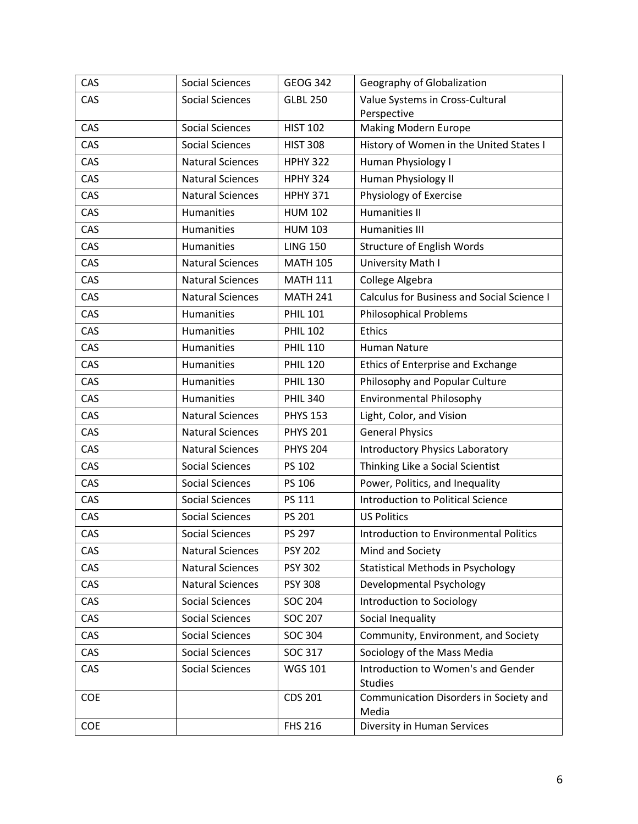| CAS        | <b>Social Sciences</b>  | <b>GEOG 342</b> | Geography of Globalization                      |
|------------|-------------------------|-----------------|-------------------------------------------------|
| CAS        | <b>Social Sciences</b>  | <b>GLBL 250</b> | Value Systems in Cross-Cultural                 |
|            |                         |                 | Perspective                                     |
| CAS        | <b>Social Sciences</b>  | <b>HIST 102</b> | <b>Making Modern Europe</b>                     |
| CAS        | <b>Social Sciences</b>  | <b>HIST 308</b> | History of Women in the United States I         |
| CAS        | <b>Natural Sciences</b> | <b>HPHY 322</b> | Human Physiology I                              |
| CAS        | <b>Natural Sciences</b> | <b>HPHY 324</b> | Human Physiology II                             |
| CAS        | <b>Natural Sciences</b> | <b>HPHY 371</b> | Physiology of Exercise                          |
| CAS        | <b>Humanities</b>       | <b>HUM 102</b>  | <b>Humanities II</b>                            |
| CAS        | <b>Humanities</b>       | <b>HUM 103</b>  | <b>Humanities III</b>                           |
| CAS        | Humanities              | <b>LING 150</b> | Structure of English Words                      |
| CAS        | <b>Natural Sciences</b> | <b>MATH 105</b> | University Math I                               |
| CAS        | <b>Natural Sciences</b> | <b>MATH 111</b> | College Algebra                                 |
| CAS        | <b>Natural Sciences</b> | <b>MATH 241</b> | Calculus for Business and Social Science I      |
| CAS        | <b>Humanities</b>       | <b>PHIL 101</b> | <b>Philosophical Problems</b>                   |
| CAS        | <b>Humanities</b>       | <b>PHIL 102</b> | <b>Ethics</b>                                   |
| CAS        | Humanities              | <b>PHIL 110</b> | Human Nature                                    |
| CAS        | Humanities              | <b>PHIL 120</b> | <b>Ethics of Enterprise and Exchange</b>        |
| CAS        | Humanities              | <b>PHIL 130</b> | Philosophy and Popular Culture                  |
| CAS        | Humanities              | <b>PHIL 340</b> | <b>Environmental Philosophy</b>                 |
| CAS        | <b>Natural Sciences</b> | <b>PHYS 153</b> | Light, Color, and Vision                        |
| CAS        | <b>Natural Sciences</b> | <b>PHYS 201</b> | <b>General Physics</b>                          |
| CAS        | <b>Natural Sciences</b> | <b>PHYS 204</b> | <b>Introductory Physics Laboratory</b>          |
| CAS        | <b>Social Sciences</b>  | PS 102          | Thinking Like a Social Scientist                |
| CAS        | <b>Social Sciences</b>  | PS 106          | Power, Politics, and Inequality                 |
| CAS        | <b>Social Sciences</b>  | PS 111          | Introduction to Political Science               |
| CAS        | <b>Social Sciences</b>  | PS 201          | <b>US Politics</b>                              |
| CAS        | <b>Social Sciences</b>  | PS 297          | <b>Introduction to Environmental Politics</b>   |
| CAS        | <b>Natural Sciences</b> | <b>PSY 202</b>  | Mind and Society                                |
| CAS        | <b>Natural Sciences</b> | <b>PSY 302</b>  | <b>Statistical Methods in Psychology</b>        |
| CAS        | <b>Natural Sciences</b> | <b>PSY 308</b>  | Developmental Psychology                        |
| CAS        | <b>Social Sciences</b>  | <b>SOC 204</b>  | Introduction to Sociology                       |
| CAS        | <b>Social Sciences</b>  | <b>SOC 207</b>  | Social Inequality                               |
| CAS        | <b>Social Sciences</b>  | <b>SOC 304</b>  | Community, Environment, and Society             |
| CAS        | <b>Social Sciences</b>  | SOC 317         | Sociology of the Mass Media                     |
| CAS        | <b>Social Sciences</b>  | <b>WGS 101</b>  | Introduction to Women's and Gender              |
|            |                         |                 | <b>Studies</b>                                  |
| <b>COE</b> |                         | CDS 201         | Communication Disorders in Society and<br>Media |
| COE        |                         | <b>FHS 216</b>  | Diversity in Human Services                     |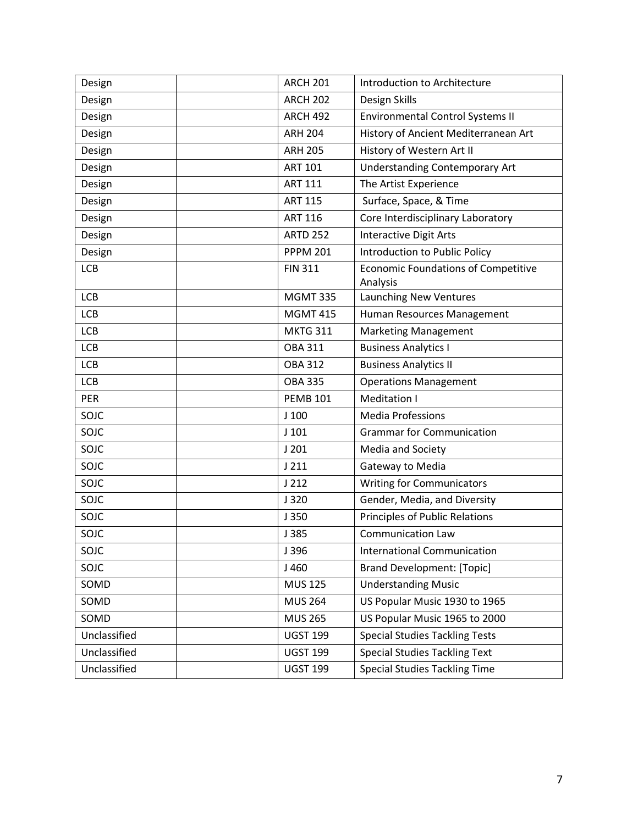| Design       | <b>ARCH 201</b> | Introduction to Architecture               |
|--------------|-----------------|--------------------------------------------|
| Design       | <b>ARCH 202</b> | Design Skills                              |
| Design       | <b>ARCH 492</b> | <b>Environmental Control Systems II</b>    |
| Design       | <b>ARH 204</b>  | History of Ancient Mediterranean Art       |
| Design       | <b>ARH 205</b>  | History of Western Art II                  |
| Design       | <b>ART 101</b>  | <b>Understanding Contemporary Art</b>      |
| Design       | <b>ART 111</b>  | The Artist Experience                      |
| Design       | <b>ART 115</b>  | Surface, Space, & Time                     |
| Design       | <b>ART 116</b>  | Core Interdisciplinary Laboratory          |
| Design       | <b>ARTD 252</b> | <b>Interactive Digit Arts</b>              |
| Design       | <b>PPPM 201</b> | Introduction to Public Policy              |
| <b>LCB</b>   | <b>FIN 311</b>  | <b>Economic Foundations of Competitive</b> |
| <b>LCB</b>   | <b>MGMT 335</b> | Analysis<br>Launching New Ventures         |
| <b>LCB</b>   | <b>MGMT 415</b> | Human Resources Management                 |
| <b>LCB</b>   | <b>MKTG 311</b> | <b>Marketing Management</b>                |
| <b>LCB</b>   | <b>OBA 311</b>  | <b>Business Analytics I</b>                |
| <b>LCB</b>   | <b>OBA 312</b>  | <b>Business Analytics II</b>               |
| <b>LCB</b>   | <b>OBA 335</b>  | <b>Operations Management</b>               |
| PER          | <b>PEMB 101</b> | Meditation I                               |
| SOJC         | $J$ 100         | <b>Media Professions</b>                   |
| SOJC         | $J$ 101         | <b>Grammar for Communication</b>           |
| SOJC         | J201            | Media and Society                          |
| SOJC         | J211            | Gateway to Media                           |
| SOJC         | J212            | <b>Writing for Communicators</b>           |
| SOJC         | J320            | Gender, Media, and Diversity               |
| SOJC         | J 350           | <b>Principles of Public Relations</b>      |
| SOJC         | J 385           | <b>Communication Law</b>                   |
| SOJC         | J396            | <b>International Communication</b>         |
| SOJC         | J 460           | <b>Brand Development: [Topic]</b>          |
| SOMD         | <b>MUS 125</b>  | <b>Understanding Music</b>                 |
| SOMD         | <b>MUS 264</b>  | US Popular Music 1930 to 1965              |
| SOMD         | <b>MUS 265</b>  | US Popular Music 1965 to 2000              |
| Unclassified | <b>UGST 199</b> | <b>Special Studies Tackling Tests</b>      |
| Unclassified | <b>UGST 199</b> | <b>Special Studies Tackling Text</b>       |
| Unclassified | <b>UGST 199</b> | <b>Special Studies Tackling Time</b>       |
|              |                 |                                            |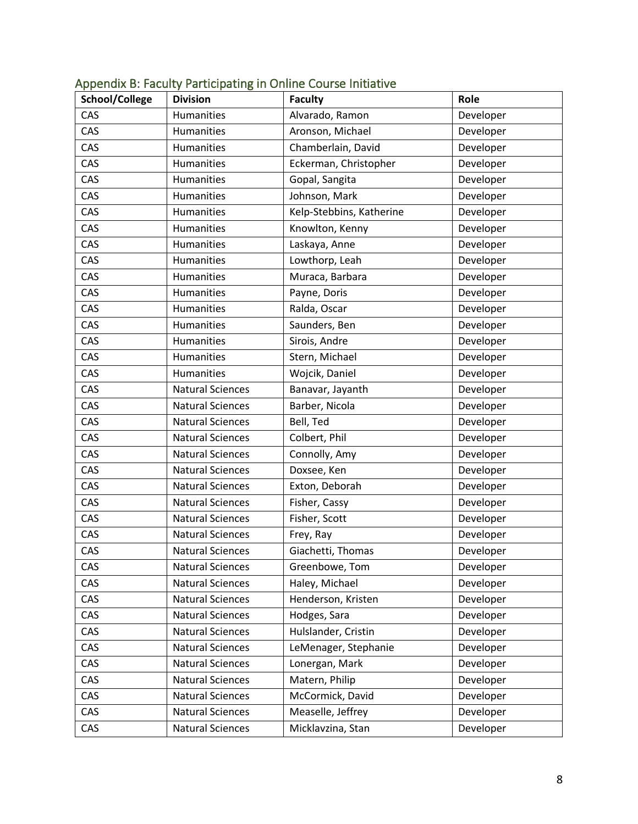| School/College | <b>Division</b>         | <b>Faculty</b>           | Role      |
|----------------|-------------------------|--------------------------|-----------|
| CAS            | Humanities              | Alvarado, Ramon          | Developer |
| CAS            | Humanities              | Aronson, Michael         | Developer |
| CAS            | Humanities              | Chamberlain, David       | Developer |
| CAS            | Humanities              | Eckerman, Christopher    | Developer |
| CAS            | <b>Humanities</b>       | Gopal, Sangita           | Developer |
| CAS            | Humanities              | Johnson, Mark            | Developer |
| CAS            | Humanities              | Kelp-Stebbins, Katherine | Developer |
| CAS            | Humanities              | Knowlton, Kenny          | Developer |
| CAS            | Humanities              | Laskaya, Anne            | Developer |
| CAS            | Humanities              | Lowthorp, Leah           | Developer |
| CAS            | Humanities              | Muraca, Barbara          | Developer |
| CAS            | Humanities              | Payne, Doris             | Developer |
| CAS            | Humanities              | Ralda, Oscar             | Developer |
| CAS            | Humanities              | Saunders, Ben            | Developer |
| CAS            | Humanities              | Sirois, Andre            | Developer |
| CAS            | Humanities              | Stern, Michael           | Developer |
| CAS            | Humanities              | Wojcik, Daniel           | Developer |
| CAS            | <b>Natural Sciences</b> | Banavar, Jayanth         | Developer |
| CAS            | <b>Natural Sciences</b> | Barber, Nicola           | Developer |
| CAS            | <b>Natural Sciences</b> | Bell, Ted                | Developer |
| CAS            | <b>Natural Sciences</b> | Colbert, Phil            | Developer |
| CAS            | <b>Natural Sciences</b> | Connolly, Amy            | Developer |
| CAS            | <b>Natural Sciences</b> | Doxsee, Ken              | Developer |
| CAS            | <b>Natural Sciences</b> | Exton, Deborah           | Developer |
| CAS            | <b>Natural Sciences</b> | Fisher, Cassy            | Developer |
| CAS            | <b>Natural Sciences</b> | Fisher, Scott            | Developer |
| CAS            | <b>Natural Sciences</b> | Frey, Ray                | Developer |
| CAS            | <b>Natural Sciences</b> | Giachetti, Thomas        | Developer |
| CAS            | <b>Natural Sciences</b> | Greenbowe, Tom           | Developer |
| CAS            | <b>Natural Sciences</b> | Haley, Michael           | Developer |
| CAS            | <b>Natural Sciences</b> | Henderson, Kristen       | Developer |
| CAS            | <b>Natural Sciences</b> | Hodges, Sara             | Developer |
| CAS            | <b>Natural Sciences</b> | Hulslander, Cristin      | Developer |
| CAS            | <b>Natural Sciences</b> | LeMenager, Stephanie     | Developer |
| CAS            | <b>Natural Sciences</b> | Lonergan, Mark           | Developer |
| CAS            | <b>Natural Sciences</b> | Matern, Philip           | Developer |
| CAS            | <b>Natural Sciences</b> | McCormick, David         | Developer |
| CAS            | <b>Natural Sciences</b> | Measelle, Jeffrey        | Developer |
| CAS            | <b>Natural Sciences</b> | Micklavzina, Stan        | Developer |

## Appendix B: Faculty Participating in Online Course Initiative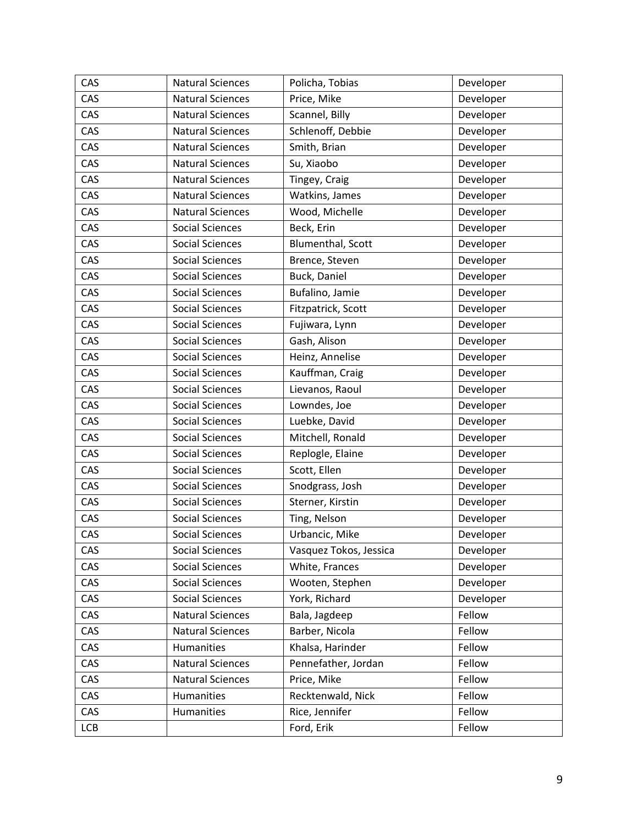| CAS        | <b>Natural Sciences</b> | Policha, Tobias        | Developer |
|------------|-------------------------|------------------------|-----------|
| CAS        | <b>Natural Sciences</b> | Price, Mike            | Developer |
| CAS        | <b>Natural Sciences</b> | Scannel, Billy         | Developer |
| CAS        | <b>Natural Sciences</b> | Schlenoff, Debbie      | Developer |
| CAS        | <b>Natural Sciences</b> | Smith, Brian           | Developer |
| CAS        | <b>Natural Sciences</b> | Su, Xiaobo             | Developer |
| CAS        | <b>Natural Sciences</b> | Tingey, Craig          | Developer |
| CAS        | <b>Natural Sciences</b> | Watkins, James         | Developer |
| CAS        | <b>Natural Sciences</b> | Wood, Michelle         | Developer |
| CAS        | <b>Social Sciences</b>  | Beck, Erin             | Developer |
| CAS        | <b>Social Sciences</b>  | Blumenthal, Scott      | Developer |
| CAS        | <b>Social Sciences</b>  | Brence, Steven         | Developer |
| <b>CAS</b> | <b>Social Sciences</b>  | Buck, Daniel           | Developer |
| CAS        | <b>Social Sciences</b>  | Bufalino, Jamie        | Developer |
| CAS        | <b>Social Sciences</b>  | Fitzpatrick, Scott     | Developer |
| CAS        | <b>Social Sciences</b>  | Fujiwara, Lynn         | Developer |
| CAS        | <b>Social Sciences</b>  | Gash, Alison           | Developer |
| CAS        | <b>Social Sciences</b>  | Heinz, Annelise        | Developer |
| CAS        | <b>Social Sciences</b>  | Kauffman, Craig        | Developer |
| CAS        | <b>Social Sciences</b>  | Lievanos, Raoul        | Developer |
| CAS        | <b>Social Sciences</b>  | Lowndes, Joe           | Developer |
| CAS        | <b>Social Sciences</b>  | Luebke, David          | Developer |
| CAS        | <b>Social Sciences</b>  | Mitchell, Ronald       | Developer |
| CAS        | <b>Social Sciences</b>  | Replogle, Elaine       | Developer |
| CAS        | <b>Social Sciences</b>  | Scott, Ellen           | Developer |
| CAS        | <b>Social Sciences</b>  | Snodgrass, Josh        | Developer |
| CAS        | <b>Social Sciences</b>  | Sterner, Kirstin       | Developer |
| CAS        | <b>Social Sciences</b>  | Ting, Nelson           | Developer |
| CAS        | <b>Social Sciences</b>  | Urbancic, Mike         | Developer |
| CAS        | <b>Social Sciences</b>  | Vasquez Tokos, Jessica | Developer |
| CAS        | <b>Social Sciences</b>  | White, Frances         | Developer |
| CAS        | <b>Social Sciences</b>  | Wooten, Stephen        | Developer |
| CAS        | <b>Social Sciences</b>  | York, Richard          | Developer |
| CAS        | <b>Natural Sciences</b> | Bala, Jagdeep          | Fellow    |
| CAS        | <b>Natural Sciences</b> | Barber, Nicola         | Fellow    |
| CAS        | Humanities              | Khalsa, Harinder       | Fellow    |
| CAS        | <b>Natural Sciences</b> | Pennefather, Jordan    | Fellow    |
| CAS        | <b>Natural Sciences</b> | Price, Mike            | Fellow    |
| CAS        | Humanities              | Recktenwald, Nick      | Fellow    |
| CAS        | Humanities              | Rice, Jennifer         | Fellow    |
| <b>LCB</b> |                         | Ford, Erik             | Fellow    |